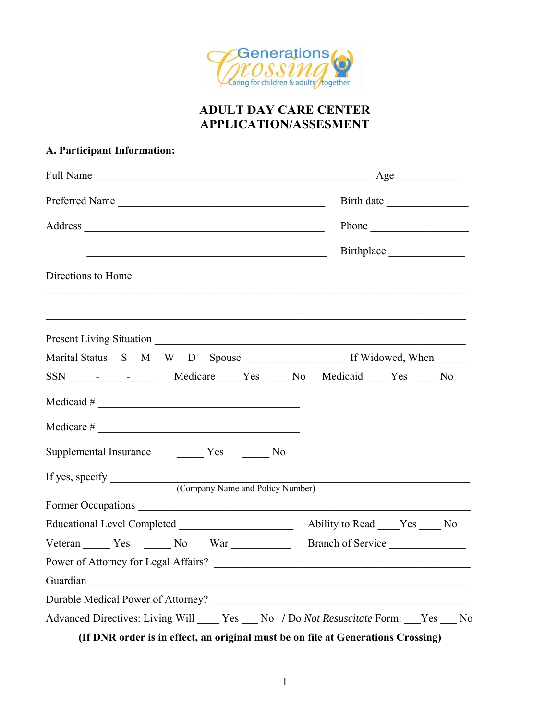

## **ADULT DAY CARE CENTER APPLICATION/ASSESMENT**

### **A. Participant Information:**

| Preferred Name                                                                                                       | Birth date                                        |
|----------------------------------------------------------------------------------------------------------------------|---------------------------------------------------|
| Address Phone Phone                                                                                                  |                                                   |
| <u> Alexandria de la contrada de la contrada de la contrada de la contrada de la contrada de la contrada de la c</u> | Birthplace                                        |
| Directions to Home                                                                                                   |                                                   |
|                                                                                                                      |                                                   |
|                                                                                                                      |                                                   |
| SSN - - - Medicare Yes No Medicaid Yes No                                                                            |                                                   |
| $Medical \#$                                                                                                         |                                                   |
| $Medicare \#$                                                                                                        |                                                   |
|                                                                                                                      |                                                   |
|                                                                                                                      |                                                   |
| (Company Name and Policy Number)                                                                                     |                                                   |
|                                                                                                                      |                                                   |
|                                                                                                                      |                                                   |
|                                                                                                                      | Branch of Service                                 |
|                                                                                                                      |                                                   |
| Guardian                                                                                                             |                                                   |
| Durable Medical Power of Attorney?                                                                                   | <u> 1989 - Johann Barbara, martxa alemaniar a</u> |
| Advanced Directives: Living Will _____ Yes ____ No / Do Not Resuscitate Form: ___ Yes ___ No                         |                                                   |
| (If DNR order is in effect, an original must be on file at Generations Crossing)                                     |                                                   |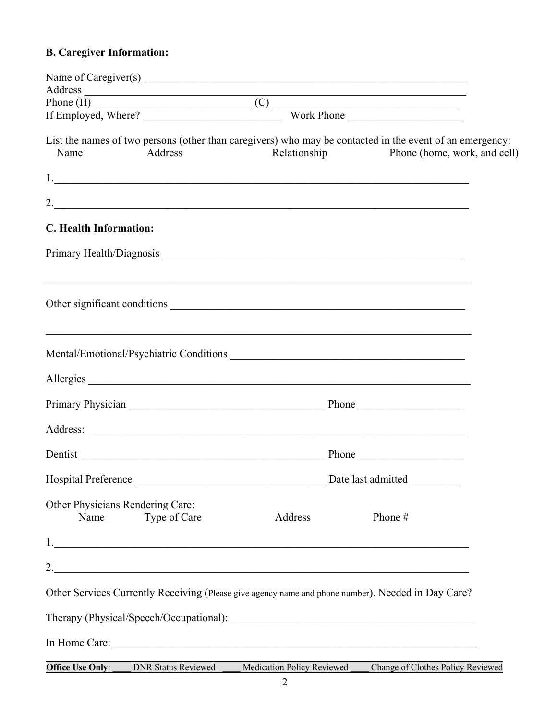# **B. Caregiver Information:**

| Name                                     | Address                    | Relationship               | List the names of two persons (other than caregivers) who may be contacted in the event of an emergency:<br>Phone (home, work, and cell) |  |
|------------------------------------------|----------------------------|----------------------------|------------------------------------------------------------------------------------------------------------------------------------------|--|
|                                          |                            |                            |                                                                                                                                          |  |
|                                          |                            |                            | $\overline{\phantom{a}}$                                                                                                                 |  |
| C. Health Information:                   |                            |                            |                                                                                                                                          |  |
|                                          |                            |                            |                                                                                                                                          |  |
|                                          |                            |                            |                                                                                                                                          |  |
|                                          |                            |                            | ,我们也不能在这里的时候,我们也不能在这里的时候,我们也不能会在这里的时候,我们也不能会在这里的时候,我们也不能会在这里的时候,我们也不能会在这里的时候,我们也不                                                        |  |
|                                          |                            |                            | Allergies                                                                                                                                |  |
|                                          |                            |                            |                                                                                                                                          |  |
|                                          |                            |                            |                                                                                                                                          |  |
|                                          |                            |                            | Dentist Phone Phone                                                                                                                      |  |
|                                          |                            |                            |                                                                                                                                          |  |
| Other Physicians Rendering Care:<br>Name | Type of Care               | Address                    | Phone#                                                                                                                                   |  |
|                                          |                            |                            |                                                                                                                                          |  |
|                                          |                            |                            |                                                                                                                                          |  |
|                                          |                            |                            | Other Services Currently Receiving (Please give agency name and phone number). Needed in Day Care?                                       |  |
|                                          |                            |                            |                                                                                                                                          |  |
|                                          |                            |                            |                                                                                                                                          |  |
| Office Use Only:                         | <b>DNR Status Reviewed</b> | Medication Policy Reviewed | Change of Clothes Policy Reviewed                                                                                                        |  |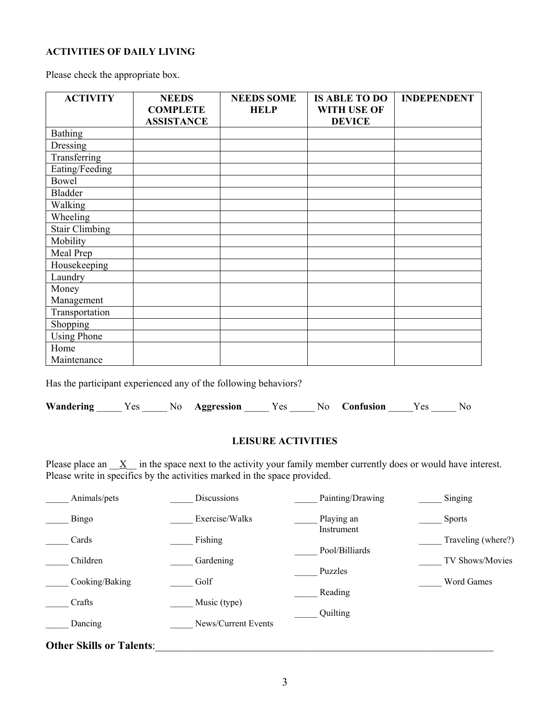#### **ACTIVITIES OF DAILY LIVING**

Please check the appropriate box.

| <b>ACTIVITY</b>       | <b>NEEDS</b><br><b>COMPLETE</b><br><b>ASSISTANCE</b> | <b>NEEDS SOME</b><br><b>HELP</b> | <b>IS ABLE TO DO</b><br>WITH USE OF<br><b>DEVICE</b> | <b>INDEPENDENT</b> |
|-----------------------|------------------------------------------------------|----------------------------------|------------------------------------------------------|--------------------|
| <b>Bathing</b>        |                                                      |                                  |                                                      |                    |
| Dressing              |                                                      |                                  |                                                      |                    |
| Transferring          |                                                      |                                  |                                                      |                    |
| Eating/Feeding        |                                                      |                                  |                                                      |                    |
| <b>Bowel</b>          |                                                      |                                  |                                                      |                    |
| <b>Bladder</b>        |                                                      |                                  |                                                      |                    |
| Walking               |                                                      |                                  |                                                      |                    |
| Wheeling              |                                                      |                                  |                                                      |                    |
| <b>Stair Climbing</b> |                                                      |                                  |                                                      |                    |
| Mobility              |                                                      |                                  |                                                      |                    |
| Meal Prep             |                                                      |                                  |                                                      |                    |
| Housekeeping          |                                                      |                                  |                                                      |                    |
| Laundry               |                                                      |                                  |                                                      |                    |
| Money                 |                                                      |                                  |                                                      |                    |
| Management            |                                                      |                                  |                                                      |                    |
| Transportation        |                                                      |                                  |                                                      |                    |
| Shopping              |                                                      |                                  |                                                      |                    |
| <b>Using Phone</b>    |                                                      |                                  |                                                      |                    |
| Home                  |                                                      |                                  |                                                      |                    |
| Maintenance           |                                                      |                                  |                                                      |                    |

Has the participant experienced any of the following behaviors?

| Wandering | es | No. | Aggression | Y es | No. | <b>Confusion</b> | ′ es | No. |
|-----------|----|-----|------------|------|-----|------------------|------|-----|
|           |    |     |            |      |     |                  |      |     |

#### **LEISURE ACTIVITIES**

Please place an  $\underline{X}$  in the space next to the activity your family member currently does or would have interest. Please write in specifics by the activities marked in the space provided.

| Animals/pets                    | Discussions         | Painting/Drawing         | Singing            |
|---------------------------------|---------------------|--------------------------|--------------------|
| Bingo                           | Exercise/Walks      | Playing an<br>Instrument | <b>Sports</b>      |
| Cards                           | Fishing             | Pool/Billiards           | Traveling (where?) |
| Children                        | Gardening           | Puzzles                  | TV Shows/Movies    |
| Cooking/Baking                  | Golf                | Reading                  | Word Games         |
| Crafts                          | Music (type)        |                          |                    |
| Dancing                         | News/Current Events | Quilting                 |                    |
| <b>Other Skills or Talents:</b> |                     |                          |                    |